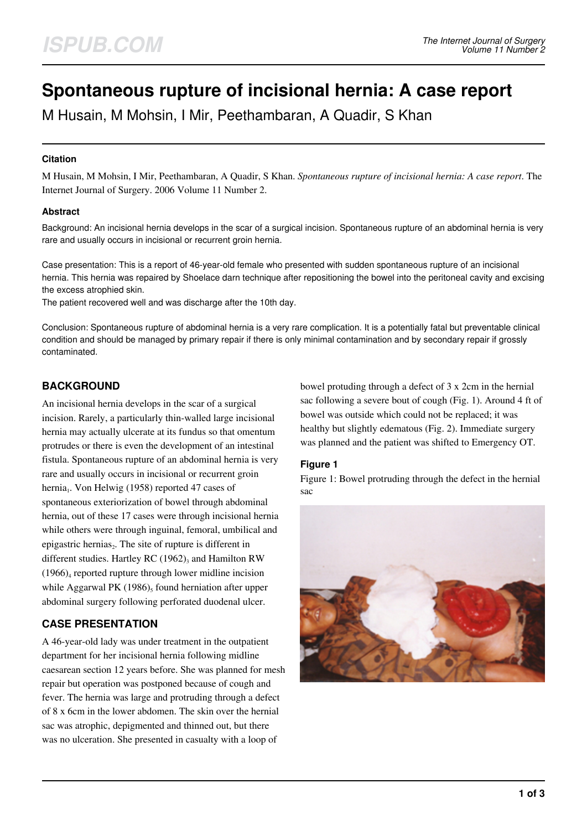# **Spontaneous rupture of incisional hernia: A case report**

M Husain, M Mohsin, I Mir, Peethambaran, A Quadir, S Khan

#### **Citation**

M Husain, M Mohsin, I Mir, Peethambaran, A Quadir, S Khan. *Spontaneous rupture of incisional hernia: A case report*. The Internet Journal of Surgery. 2006 Volume 11 Number 2.

#### **Abstract**

Background: An incisional hernia develops in the scar of a surgical incision. Spontaneous rupture of an abdominal hernia is very rare and usually occurs in incisional or recurrent groin hernia.

Case presentation: This is a report of 46-year-old female who presented with sudden spontaneous rupture of an incisional hernia. This hernia was repaired by Shoelace darn technique after repositioning the bowel into the peritoneal cavity and excising the excess atrophied skin.

The patient recovered well and was discharge after the 10th day.

Conclusion: Spontaneous rupture of abdominal hernia is a very rare complication. It is a potentially fatal but preventable clinical condition and should be managed by primary repair if there is only minimal contamination and by secondary repair if grossly contaminated.

# **BACKGROUND**

An incisional hernia develops in the scar of a surgical incision. Rarely, a particularly thin-walled large incisional hernia may actually ulcerate at its fundus so that omentum protrudes or there is even the development of an intestinal fistula. Spontaneous rupture of an abdominal hernia is very rare and usually occurs in incisional or recurrent groin hernia<sub>1</sub>. Von Helwig (1958) reported 47 cases of spontaneous exteriorization of bowel through abdominal hernia, out of these 17 cases were through incisional hernia while others were through inguinal, femoral, umbilical and epigastric hernias<sub>2</sub>. The site of rupture is different in different studies. Hartley RC  $(1962)_{3}$  and Hamilton RW  $(1966)<sub>4</sub>$  reported rupture through lower midline incision while Aggarwal PK  $(1986)$ <sub>5</sub> found herniation after upper abdominal surgery following perforated duodenal ulcer.

# **CASE PRESENTATION**

A 46-year-old lady was under treatment in the outpatient department for her incisional hernia following midline caesarean section 12 years before. She was planned for mesh repair but operation was postponed because of cough and fever. The hernia was large and protruding through a defect of 8 x 6cm in the lower abdomen. The skin over the hernial sac was atrophic, depigmented and thinned out, but there was no ulceration. She presented in casualty with a loop of

bowel protuding through a defect of 3 x 2cm in the hernial sac following a severe bout of cough (Fig. 1). Around 4 ft of bowel was outside which could not be replaced; it was healthy but slightly edematous (Fig. 2). Immediate surgery was planned and the patient was shifted to Emergency OT.

## **Figure 1**

Figure 1: Bowel protruding through the defect in the hernial sac

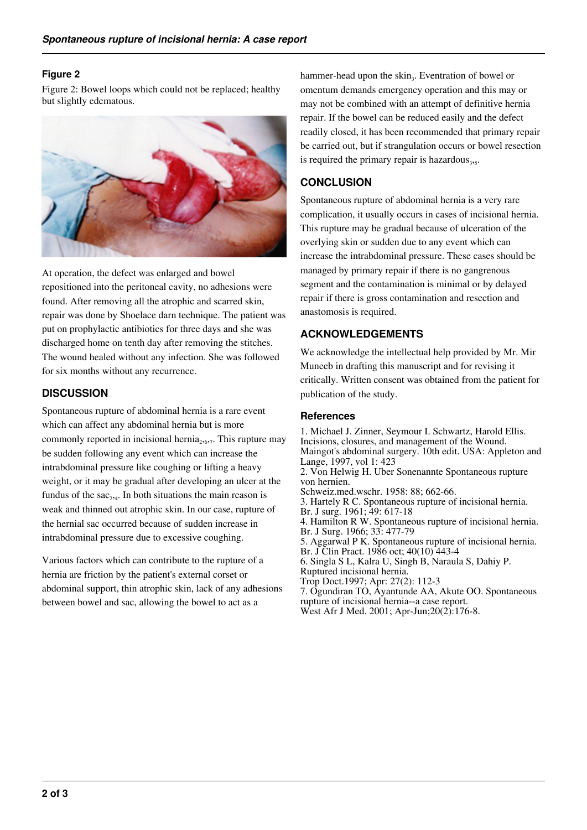## **Figure 2**

Figure 2: Bowel loops which could not be replaced; healthy but slightly edematous.



At operation, the defect was enlarged and bowel repositioned into the peritoneal cavity, no adhesions were found. After removing all the atrophic and scarred skin, repair was done by Shoelace darn technique. The patient was put on prophylactic antibiotics for three days and she was discharged home on tenth day after removing the stitches. The wound healed without any infection. She was followed for six months without any recurrence.

## **DISCUSSION**

Spontaneous rupture of abdominal hernia is a rare event which can affect any abdominal hernia but is more commonly reported in incisional hernia<sub>2,67</sub>. This rupture may be sudden following any event which can increase the intrabdominal pressure like coughing or lifting a heavy weight, or it may be gradual after developing an ulcer at the fundus of the  $sac_{2,4}$ . In both situations the main reason is weak and thinned out atrophic skin. In our case, rupture of the hernial sac occurred because of sudden increase in intrabdominal pressure due to excessive coughing.

Various factors which can contribute to the rupture of a hernia are friction by the patient's external corset or abdominal support, thin atrophic skin, lack of any adhesions between bowel and sac, allowing the bowel to act as a

hammer-head upon the skin<sub>3</sub>. Eventration of bowel or omentum demands emergency operation and this may or may not be combined with an attempt of definitive hernia repair. If the bowel can be reduced easily and the defect readily closed, it has been recommended that primary repair be carried out, but if strangulation occurs or bowel resection is required the primary repair is hazardous $_{3}$ ,.

## **CONCLUSION**

Spontaneous rupture of abdominal hernia is a very rare complication, it usually occurs in cases of incisional hernia. This rupture may be gradual because of ulceration of the overlying skin or sudden due to any event which can increase the intrabdominal pressure. These cases should be managed by primary repair if there is no gangrenous segment and the contamination is minimal or by delayed repair if there is gross contamination and resection and anastomosis is required.

## **ACKNOWLEDGEMENTS**

We acknowledge the intellectual help provided by Mr. Mir Muneeb in drafting this manuscript and for revising it critically. Written consent was obtained from the patient for publication of the study.

### **References**

1. Michael J. Zinner, Seymour I. Schwartz, Harold Ellis. Incisions, closures, and management of the Wound. Maingot's abdominal surgery. 10th edit. USA: Appleton and Lange, 1997, vol 1: 423 2. Von Helwig H. Uber Sonenannte Spontaneous rupture von hernien. Schweiz.med.wschr. 1958: 88; 662-66. 3. Hartely R C. Spontaneous rupture of incisional hernia. Br. J surg. 1961; 49: 617-18 4. Hamilton R W. Spontaneous rupture of incisional hernia. Br. J Surg. 1966; 33: 477-79 5. Aggarwal P K. Spontaneous rupture of incisional hernia. Br. J Clin Pract. 1986 oct; 40(10) 443-4 6. Singla S L, Kalra U, Singh B, Naraula S, Dahiy P. Ruptured incisional hernia. Trop Doct.1997; Apr: 27(2): 112-3 7. Ogundiran TO, Ayantunde AA, Akute OO. Spontaneous rupture of incisional hernia--a case report. West Afr J Med. 2001; Apr-Jun;20(2):176-8.